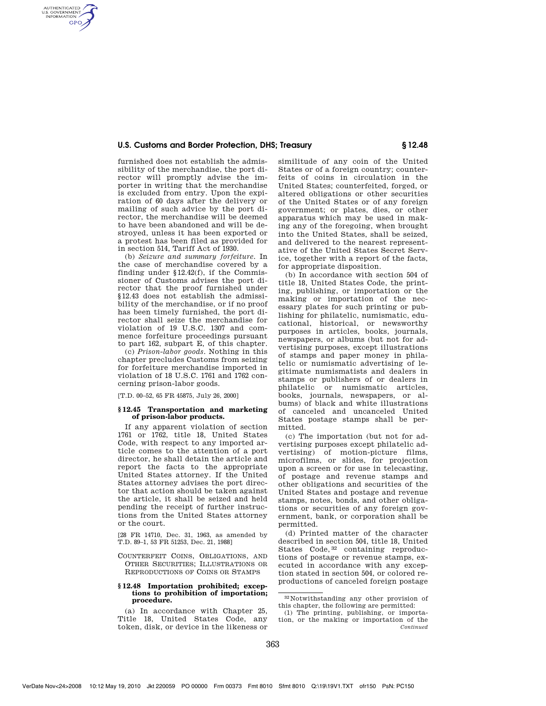# **U.S. Customs and Border Protection, DHS; Treasury § 12.48**

furnished does not establish the admissibility of the merchandise, the port director will promptly advise the importer in writing that the merchandise is excluded from entry. Upon the expiration of 60 days after the delivery or mailing of such advice by the port director, the merchandise will be deemed to have been abandoned and will be destroyed, unless it has been exported or a protest has been filed as provided for in section 514, Tariff Act of 1930.

AUTHENTICATED<br>U.S. GOVERNMENT<br>INFORMATION **GPO** 

> (b) *Seizure and summary forfeiture.* In the case of merchandise covered by a finding under §12.42(f), if the Commissioner of Customs advises the port director that the proof furnished under §12.43 does not establish the admissibility of the merchandise, or if no proof has been timely furnished, the port director shall seize the merchandise for violation of 19 U.S.C. 1307 and commence forfeiture proceedings pursuant to part 162, subpart E, of this chapter.

> (c) *Prison-labor goods.* Nothing in this chapter precludes Customs from seizing for forfeiture merchandise imported in violation of 18 U.S.C. 1761 and 1762 concerning prison-labor goods.

[T.D. 00–52, 65 FR 45875, July 26, 2000]

### **§ 12.45 Transportation and marketing of prison-labor products.**

If any apparent violation of section 1761 or 1762, title 18, United States Code, with respect to any imported article comes to the attention of a port director, he shall detain the article and report the facts to the appropriate United States attorney. If the United States attorney advises the port director that action should be taken against the article, it shall be seized and held pending the receipt of further instructions from the United States attorney or the court.

[28 FR 14710, Dec. 31, 1963, as amended by T.D. 89–1, 53 FR 51253, Dec. 21, 1988]

# COUNTERFEIT COINS, OBLIGATIONS, AND OTHER SECURITIES; ILLUSTRATIONS OR REPRODUCTIONS OF COINS OR STAMPS

#### **§ 12.48 Importation prohibited; exceptions to prohibition of importation; procedure.**

(a) In accordance with Chapter 25, Title 18, United States Code, any token, disk, or device in the likeness or similitude of any coin of the United States or of a foreign country; counterfeits of coins in circulation in the United States; counterfeited, forged, or altered obligations or other securities of the United States or of any foreign government; or plates, dies, or other apparatus which may be used in making any of the foregoing, when brought into the United States, shall be seized, and delivered to the nearest representative of the United States Secret Service, together with a report of the facts, for appropriate disposition.

(b) In accordance with section 504 of title 18, United States Code, the printing, publishing, or importation or the making or importation of the necessary plates for such printing or publishing for philatelic, numismatic, educational, historical, or newsworthy purposes in articles, books, journals, newspapers, or albums (but not for advertising purposes, except illustrations of stamps and paper money in philatelic or numismatic advertising of legitimate numismatists and dealers in stamps or publishers of or dealers in philatelic or numismatic articles, books, journals, newspapers, or albums) of black and white illustrations of canceled and uncanceled United States postage stamps shall be permitted.

(c) The importation (but not for advertising purposes except philatelic advertising) of motion-picture films, microfilms, or slides, for projection upon a screen or for use in telecasting, of postage and revenue stamps and other obligations and securities of the United States and postage and revenue stamps, notes, bonds, and other obligations or securities of any foreign government, bank, or corporation shall be permitted.

(d) Printed matter of the character described in section 504, title 18, United States Code, 32 containing reproductions of postage or revenue stamps, executed in accordance with any exception stated in section 504, or colored reproductions of canceled foreign postage

<sup>32</sup> Notwithstanding any other provision of this chapter, the following are permitted:

<sup>(1)</sup> The printing, publishing, or importation, or the making or importation of the *Continued*